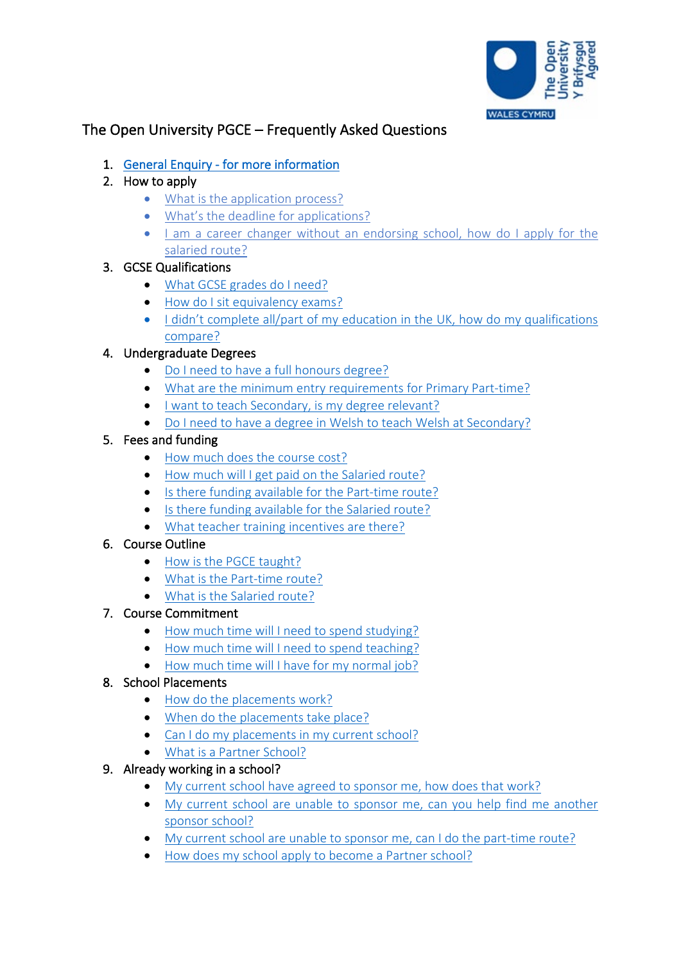

# The Open University PGCE – Frequently Asked Questions

- 1. General Enquiry for more information
- 2. How to apply
	- What is the application process?
	- What's the deadline for applications?
	- I am a career changer without an endorsing school, how do I apply for the salaried route?

# 3. GCSE Qualifications

- What GCSE grades do I need?
- How do I sit equivalency exams?
- I didn't complete all/part of my education in the UK, how do my qualifications compare?

# 4. Undergraduate Degrees

- Do I need to have a full honours degree?
- What are the minimum entry requirements for Primary Part-time?
- I want to teach Secondary, is my degree relevant?
- Do I need to have a degree in Welsh to teach Welsh at Secondary?

# 5. Fees and funding

- How much does the course cost?
- How much will I get paid on the Salaried route?
- Is there funding available for the Part-time route?
- Is there funding available for the Salaried route?
- What teacher training incentives are there?

# 6. Course Outline

- How is the PGCE taught?
- What is the Part-time route?
- What is the Salaried route?
- 7. Course Commitment
	- How much time will I need to spend studying?
	- How much time will I need to spend teaching?
	- How much time will I have for my normal job?

# 8. School Placements

- How do the placements work?
- When do the placements take place?
- Can I do my placements in my current school?
- What is a Partner School?

# 9. Already working in a school?

- My current school have agreed to sponsor me, how does that work?
- My current school are unable to sponsor me, can you help find me another sponsor school?
- My current school are unable to sponsor me, can I do the part-time route?
- How does my school apply to become a Partner school?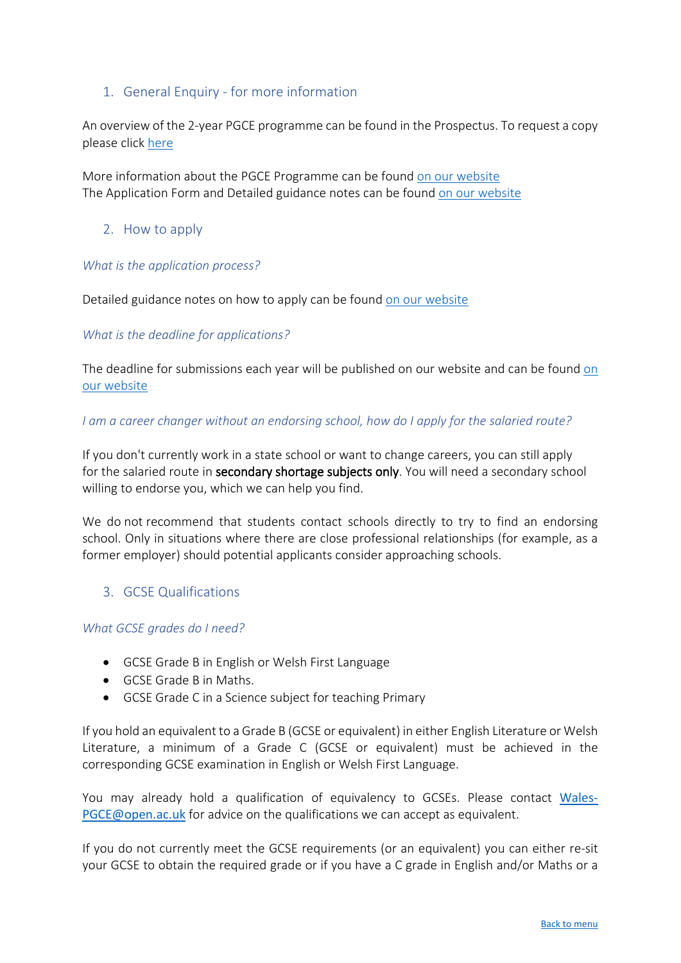# 1. General Enquiry - for more information

An overview of the 2-year PGCE programme can be found in the Prospectus. To request a copy please click [here](http://www.open.ac.uk/courses/choose/wales/pgce)

More information about the PGCE Programme can be found [on our website](http://www.open.ac.uk/courses/choose/wales/pgce) The Application Form and Detailed guidance notes can be found [on our website](http://www.open.ac.uk/courses/choose/wales/pgce)

## 2. How to apply

#### *What is the application process?*

Detailed guidance notes on how to apply can be found [on our website](http://www.open.ac.uk/courses/choose/wales/pgce)

### *What is the deadline for applications?*

The deadline for submissions each year will be published on our website and can be found [on](http://www.open.ac.uk/courses/choose/wales/pgce)  [our website](http://www.open.ac.uk/courses/choose/wales/pgce)

#### *I am a career changer without an endorsing school, how do I apply for the salaried route?*

If you don't currently work in a state school or want to change careers, you can still apply for the salaried route in secondary shortage subjects only. You will need a secondary school willing to endorse you, which we can help you find.

We do not recommend that students contact schools directly to try to find an endorsing school. Only in situations where there are close professional relationships (for example, as a former employer) should potential applicants consider approaching schools.

### 3. GCSE Qualifications

### *What GCSE grades do I need?*

- GCSE Grade B in English or Welsh First Language
- GCSE Grade B in Maths.
- GCSE Grade C in a Science subject for teaching Primary

If you hold an equivalent to a Grade B (GCSE or equivalent) in either English Literature or Welsh Literature, a minimum of a Grade C (GCSE or equivalent) must be achieved in the corresponding GCSE examination in English or Welsh First Language.

You may already hold a qualification of equivalency to GCSEs. Please contact [Wales-](mailto:Wales-PGCE@open.ac.uk)[PGCE@open.ac.uk](mailto:Wales-PGCE@open.ac.uk) for advice on the qualifications we can accept as equivalent.

If you do not currently meet the GCSE requirements (or an equivalent) you can either re-sit your GCSE to obtain the required grade or if you have a C grade in English and/or Maths or a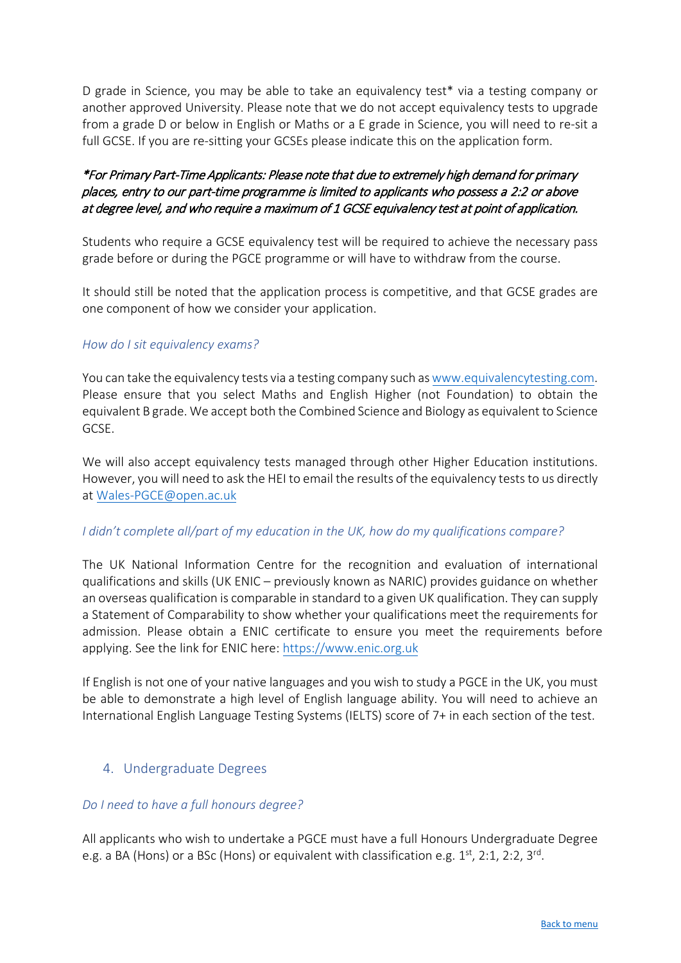D grade in Science, you may be able to take an equivalency test\* via a testing company or another approved University. Please note that we do not accept equivalency tests to upgrade from a grade D or below in English or Maths or a E grade in Science, you will need to re-sit a full GCSE. If you are re-sitting your GCSEs please indicate this on the application form.

# \*For Primary Part-Time Applicants: Please note that due to extremely high demand for primary places, entry to our part-time programme is limited to applicants who possess a 2:2 or above at degree level, and who require a maximum of 1 GCSE equivalency test at point of application.

Students who require a GCSE equivalency test will be required to achieve the necessary pass grade before or during the PGCE programme or will have to withdraw from the course.

It should still be noted that the application process is competitive, and that GCSE grades are one component of how we consider your application.

### *How do I sit equivalency exams?*

You can take the equivalency tests via a testing company such as www.equivalencytesting.com. Please ensure that you select Maths and English Higher (not Foundation) to obtain the equivalent B grade. We accept both the Combined Science and Biology as equivalent to Science GCSE.

We will also accept equivalency tests managed through other Higher Education institutions. However, you will need to ask the HEI to email the results of the equivalency tests to us directly at [Wales-PGCE@open.ac.uk](mailto:Wales-PGCE@open.ac.uk) 

### *I didn't complete all/part of my education in the UK, how do my qualifications compare?*

The UK National Information Centre for the recognition and evaluation of international qualifications and skills (UK ENIC – previously known as NARIC) provides guidance on whether an overseas qualification is comparable in standard to a given UK qualification. They can supply a Statement of Comparability to show whether your qualifications meet the requirements for admission. Please obtain a ENIC certificate to ensure you meet the requirements before applying. See the link for ENIC here: https://[www.enic.org.uk](https://www.enic.org.uk/)

If English is not one of your native languages and you wish to study a PGCE in the UK, you must be able to demonstrate a high level of English language ability. You will need to achieve an International English Language Testing Systems (IELTS) score of 7+ in each section of the test.

# 4. Undergraduate Degrees

# *Do I need to have a full honours degree?*

All applicants who wish to undertake a PGCE must have a full Honours Undergraduate Degree e.g. a BA (Hons) or a BSc (Hons) or equivalent with classification e.g. 1<sup>st</sup>, 2:1, 2:2, 3<sup>rd</sup>.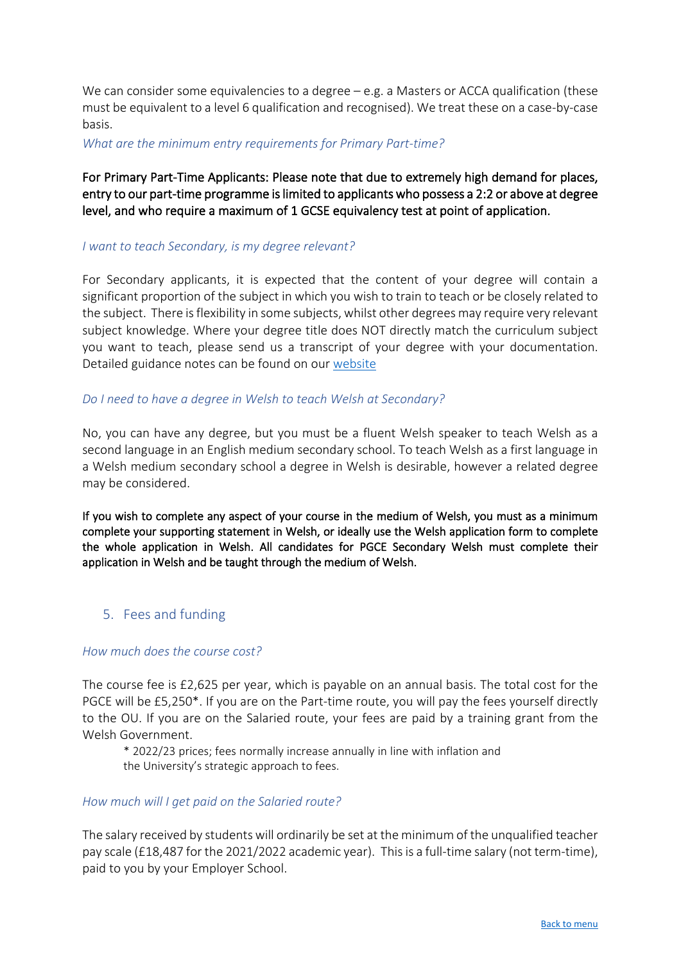We can consider some equivalencies to a degree – e.g. a Masters or ACCA qualification (these must be equivalent to a level 6 qualification and recognised). We treat these on a case-by-case basis.

*What are the minimum entry requirements for Primary Part-time?* 

# For Primary Part-Time Applicants: Please note that due to extremely high demand for places, entry to our part-time programme is limited to applicants who possess a 2:2 or above at degree level, and who require a maximum of 1 GCSE equivalency test at point of application.

#### *I want to teach Secondary, is my degree relevant?*

For Secondary applicants, it is expected that the content of your degree will contain a significant proportion of the subject in which you wish to train to teach or be closely related to the subject. There is flexibility in some subjects, whilst other degrees may require very relevant subject knowledge. Where your degree title does NOT directly match the curriculum subject you want to teach, please send us a transcript of your degree with your documentation. Detailed guidance notes can be found on our [website](https://www.open.ac.uk/courses/choose/wales/pgce)

#### *Do I need to have a degree in Welsh to teach Welsh at Secondary?*

No, you can have any degree, but you must be a fluent Welsh speaker to teach Welsh as a second language in an English medium secondary school. To teach Welsh as a first language in a Welsh medium secondary school a degree in Welsh is desirable, however a related degree may be considered.

If you wish to complete any aspect of your course in the medium of Welsh, you must as a minimum complete your supporting statement in Welsh, or ideally use the Welsh application form to complete the whole application in Welsh. All candidates for PGCE Secondary Welsh must complete their application in Welsh and be taught through the medium of Welsh.

# 5. Fees and funding

### *How much does the course cost?*

The course fee is £2,625 per year, which is payable on an annual basis. The total cost for the PGCE will be £5,250\*. If you are on the Part-time route, you will pay the fees yourself directly to the OU. If you are on the Salaried route, your fees are paid by a training grant from the Welsh Government.

\* 2022/23 prices; fees normally increase annually in line with inflation and the University's strategic approach to fees.

#### *How much will I get paid on the Salaried route?*

The salary received by students will ordinarily be set at the minimum of the unqualified teacher pay scale (£18,487 for the 2021/2022 academic year). This is a full-time salary (not term-time), paid to you by your Employer School.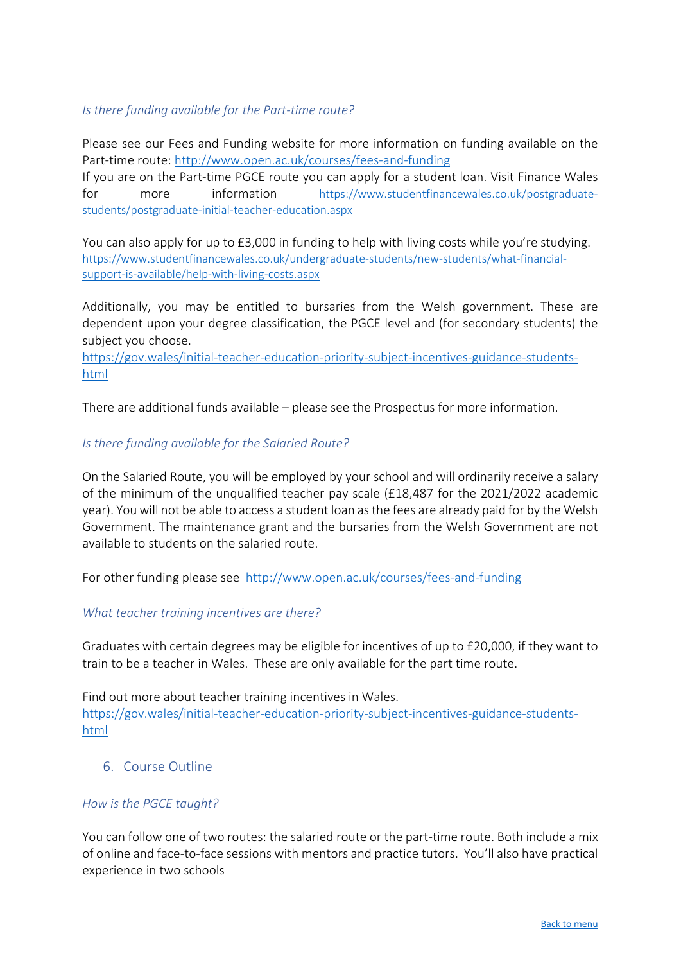## *Is there funding available for the Part-time route?*

Please see our Fees and Funding website for more information on funding available on the Part-time route:<http://www.open.ac.uk/courses/fees-and-funding>

If you are on the Part-time PGCE route you can apply for a student loan. Visit Finance Wales for more information [https://www.studentfinancewales.co.uk/postgraduate](https://www.studentfinancewales.co.uk/postgraduate-students/postgraduate-initial-teacher-education.aspx)[students/postgraduate-initial-teacher-education.aspx](https://www.studentfinancewales.co.uk/postgraduate-students/postgraduate-initial-teacher-education.aspx)

You can also apply for up to £3,000 in funding to help with living costs while you're studying. [https://www.studentfinancewales.co.uk/undergraduate-students/new-students/what-financial](https://www.studentfinancewales.co.uk/undergraduate-students/new-students/what-financial-support-is-available/help-with-living-costs.aspx)[support-is-available/help-with-living-costs.aspx](https://www.studentfinancewales.co.uk/undergraduate-students/new-students/what-financial-support-is-available/help-with-living-costs.aspx)

Additionally, you may be entitled to bursaries from the Welsh government. These are dependent upon your degree classification, the PGCE level and (for secondary students) the subject you choose.

[https://gov.wales/initial-teacher-education-priority-subject-incentives-guidance-students](https://gov.wales/initial-teacher-education-priority-subject-incentives-guidance-students-html)[html](https://gov.wales/initial-teacher-education-priority-subject-incentives-guidance-students-html) 

There are additional funds available – please see the Prospectus for more information.

### *Is there funding available for the Salaried Route?*

On the Salaried Route, you will be employed by your school and will ordinarily receive a salary of the minimum of the unqualified teacher pay scale (£18,487 for the 2021/2022 academic year). You will not be able to access a student loan as the fees are already paid for by the Welsh Government. The maintenance grant and the bursaries from the Welsh Government are not available to students on the salaried route.

For other funding please see <http://www.open.ac.uk/courses/fees-and-funding>

### *What teacher training incentives are there?*

Graduates with certain degrees may be eligible for incentives of up to £20,000, if they want to train to be a teacher in Wales. These are only available for the part time route.

Find out more about teacher training incentives in Wales. [https://gov.wales/initial-teacher-education-priority-subject-incentives-guidance-students](https://gov.wales/initial-teacher-education-priority-subject-incentives-guidance-students-html)[html](https://gov.wales/initial-teacher-education-priority-subject-incentives-guidance-students-html) 

### 6. Course Outline

#### *How is the PGCE taught?*

You can follow one of two routes: the salaried route or the part-time route. Both include a mix of online and face-to-face sessions with mentors and practice tutors. You'll also have practical experience in two schools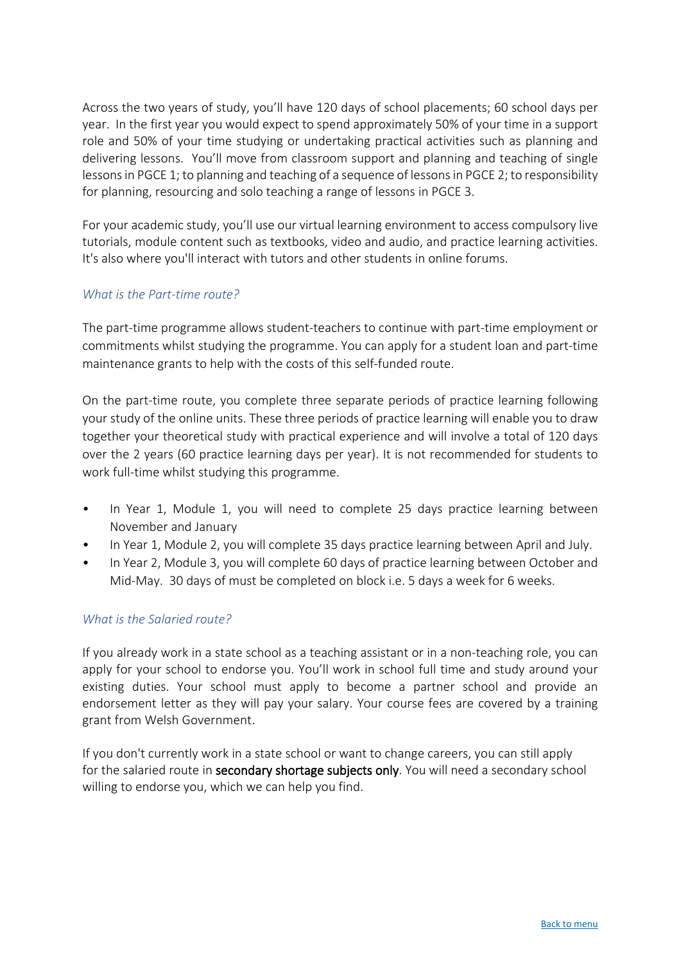Across the two years of study, you'll have 120 days of school placements; 60 school days per year. In the first year you would expect to spend approximately 50% of your time in a support role and 50% of your time studying or undertaking practical activities such as planning and delivering lessons. You'll move from classroom support and planning and teaching of single lessons in PGCE 1; to planning and teaching of a sequence of lessons in PGCE 2; to responsibility for planning, resourcing and solo teaching a range of lessons in PGCE 3.

For your academic study, you'll use our virtual learning environment to access compulsory live tutorials, module content such as textbooks, video and audio, and practice learning activities. It's also where you'll interact with tutors and other students in online forums.

# *What is the Part-time route?*

The part-time programme allows student-teachers to continue with part-time employment or commitments whilst studying the programme. You can apply for a student loan and part-time maintenance grants to help with the costs of this self-funded route.

On the part-time route, you complete three separate periods of practice learning following your study of the online units. These three periods of practice learning will enable you to draw together your theoretical study with practical experience and will involve a total of 120 days over the 2 years (60 practice learning days per year). It is not recommended for students to work full-time whilst studying this programme.

- In Year 1, Module 1, you will need to complete 25 days practice learning between November and January
- In Year 1, Module 2, you will complete 35 days practice learning between April and July.
- In Year 2, Module 3, you will complete 60 days of practice learning between October and Mid-May. 30 days of must be completed on block i.e. 5 days a week for 6 weeks.

# *What is the Salaried route?*

If you already work in a state school as a teaching assistant or in a non-teaching role, you can apply for your school to endorse you. You'll work in school full time and study around your existing duties. Your school must apply to become a partner school and provide an endorsement letter as they will pay your salary. Your course fees are covered by a training grant from Welsh Government.

If you don't currently work in a state school or want to change careers, you can still apply for the salaried route in secondary shortage subjects only. You will need a secondary school willing to endorse you, which we can help you find.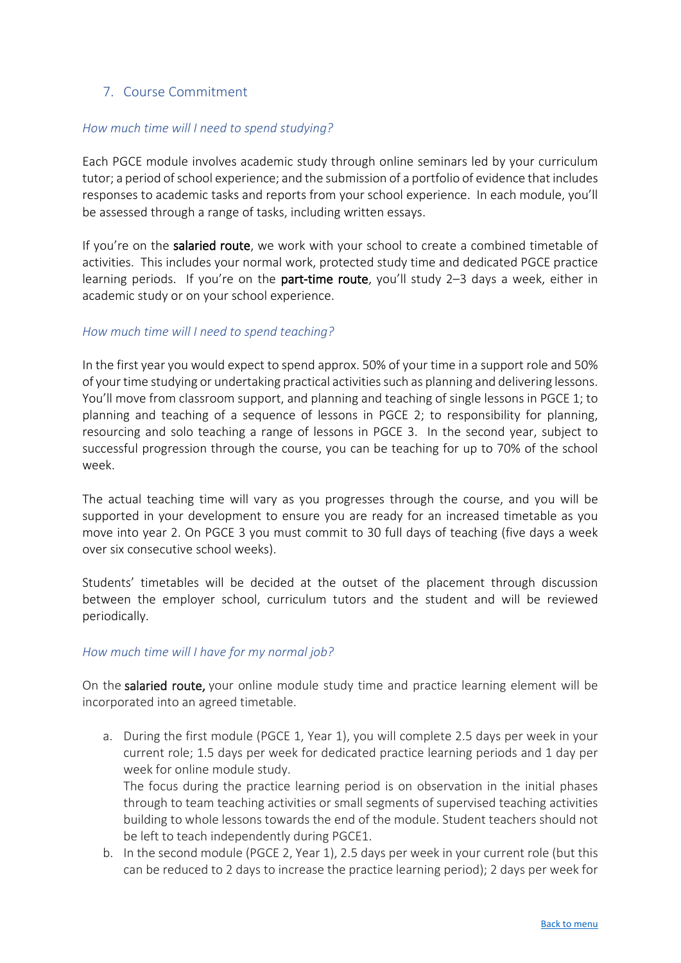# 7. Course Commitment

### *How much time will I need to spend studying?*

Each PGCE module involves academic study through online seminars led by your curriculum tutor; a period of school experience; and the submission of a portfolio of evidence that includes responses to academic tasks and reports from your school experience. In each module, you'll be assessed through a range of tasks, including written essays.

If you're on the salaried route, we work with your school to create a combined timetable of activities. This includes your normal work, protected study time and dedicated PGCE practice learning periods. If you're on the **part-time route**, you'll study  $2-3$  days a week, either in academic study or on your school experience.

### *How much time will I need to spend teaching?*

In the first year you would expect to spend approx. 50% of your time in a support role and 50% of your time studying or undertaking practical activities such as planning and delivering lessons. You'll move from classroom support, and planning and teaching of single lessons in PGCE 1; to planning and teaching of a sequence of lessons in PGCE 2; to responsibility for planning, resourcing and solo teaching a range of lessons in PGCE 3. In the second year, subject to successful progression through the course, you can be teaching for up to 70% of the school week.

The actual teaching time will vary as you progresses through the course, and you will be supported in your development to ensure you are ready for an increased timetable as you move into year 2. On PGCE 3 you must commit to 30 full days of teaching (five days a week over six consecutive school weeks).

Students' timetables will be decided at the outset of the placement through discussion between the employer school, curriculum tutors and the student and will be reviewed periodically.

### *How much time will I have for my normal job?*

On the salaried route, your online module study time and practice learning element will be incorporated into an agreed timetable.

a. During the first module (PGCE 1, Year 1), you will complete 2.5 days per week in your current role; 1.5 days per week for dedicated practice learning periods and 1 day per week for online module study.

The focus during the practice learning period is on observation in the initial phases through to team teaching activities or small segments of supervised teaching activities building to whole lessons towards the end of the module. Student teachers should not be left to teach independently during PGCE1.

b. In the second module (PGCE 2, Year 1), 2.5 days per week in your current role (but this can be reduced to 2 days to increase the practice learning period); 2 days per week for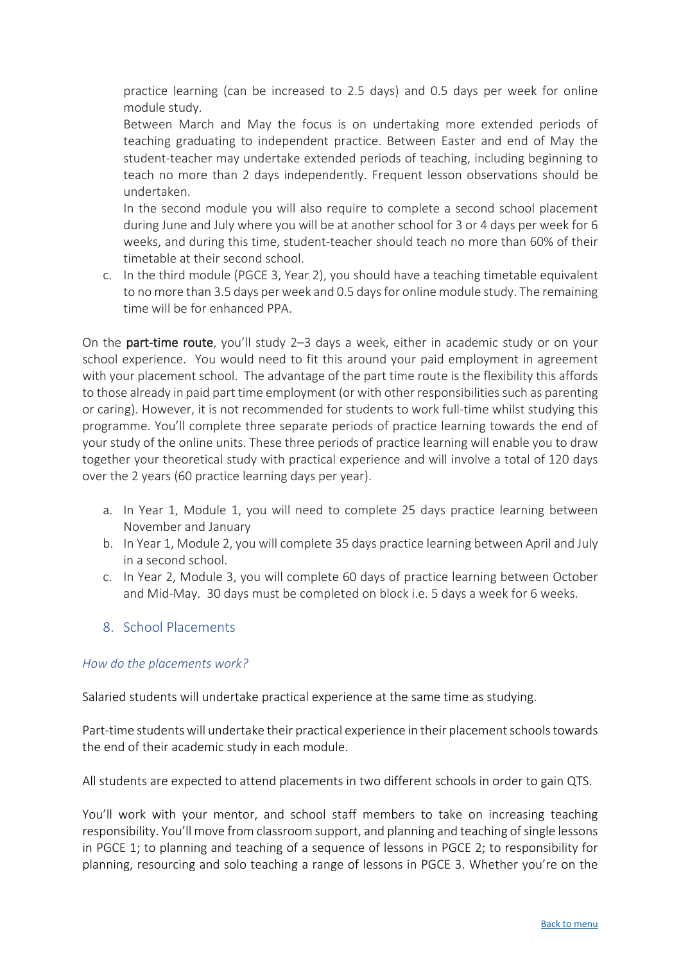practice learning (can be increased to 2.5 days) and 0.5 days per week for online module study.

Between March and May the focus is on undertaking more extended periods of teaching graduating to independent practice. Between Easter and end of May the student-teacher may undertake extended periods of teaching, including beginning to teach no more than 2 days independently. Frequent lesson observations should be undertaken.

In the second module you will also require to complete a second school placement during June and July where you will be at another school for 3 or 4 days per week for 6 weeks, and during this time, student-teacher should teach no more than 60% of their timetable at their second school.

c. In the third module (PGCE 3, Year 2), you should have a teaching timetable equivalent to no more than 3.5 days per week and 0.5 days for online module study. The remaining time will be for enhanced PPA.

On the part-time route, you'll study 2–3 days a week, either in academic study or on your school experience. You would need to fit this around your paid employment in agreement with your placement school. The advantage of the part time route is the flexibility this affords to those already in paid part time employment (or with other responsibilities such as parenting or caring). However, it is not recommended for students to work full-time whilst studying this programme. You'll complete three separate periods of practice learning towards the end of your study of the online units. These three periods of practice learning will enable you to draw together your theoretical study with practical experience and will involve a total of 120 days over the 2 years (60 practice learning days per year).

- a. In Year 1, Module 1, you will need to complete 25 days practice learning between November and January
- b. In Year 1, Module 2, you will complete 35 days practice learning between April and July in a second school.
- c. In Year 2, Module 3, you will complete 60 days of practice learning between October and Mid-May. 30 days must be completed on block i.e. 5 days a week for 6 weeks.

# 8. School Placements

# *How do the placements work?*

Salaried students will undertake practical experience at the same time as studying.

Part-time students will undertake their practical experience in their placement schoolstowards the end of their academic study in each module.

All students are expected to attend placements in two different schools in order to gain QTS.

You'll work with your mentor, and school staff members to take on increasing teaching responsibility. You'll move from classroom support, and planning and teaching of single lessons in PGCE 1; to planning and teaching of a sequence of lessons in PGCE 2; to responsibility for planning, resourcing and solo teaching a range of lessons in PGCE 3. Whether you're on the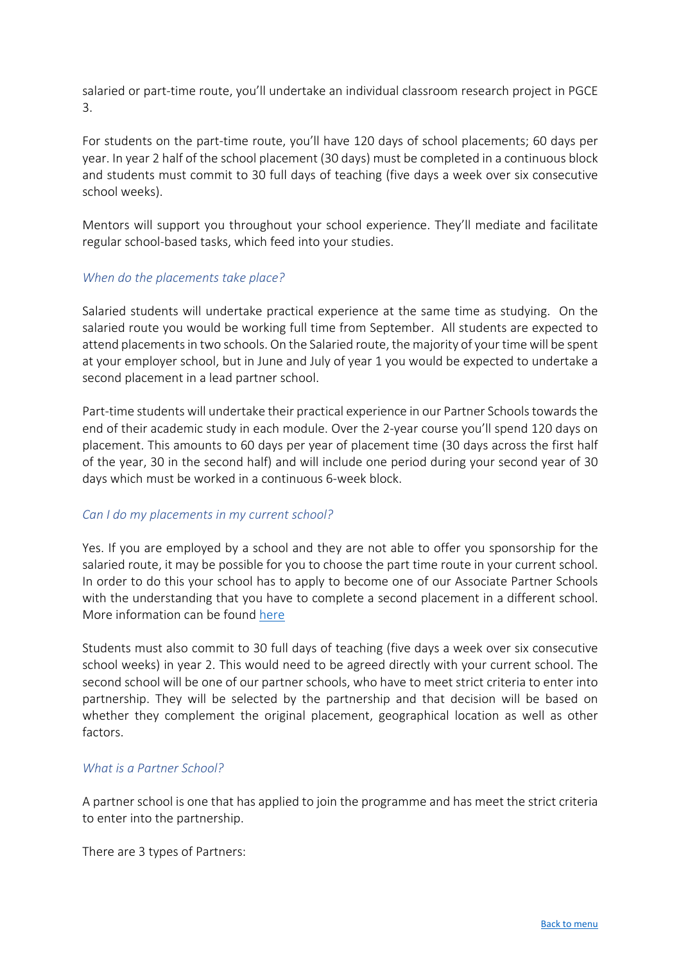salaried or part-time route, you'll undertake an individual classroom research project in PGCE 3.

For students on the part-time route, you'll have 120 days of school placements; 60 days per year. In year 2 half of the school placement (30 days) must be completed in a continuous block and students must commit to 30 full days of teaching (five days a week over six consecutive school weeks).

Mentors will support you throughout your school experience. They'll mediate and facilitate regular school-based tasks, which feed into your studies.

### *When do the placements take place?*

Salaried students will undertake practical experience at the same time as studying. On the salaried route you would be working full time from September. All students are expected to attend placements in two schools. On the Salaried route, the majority of your time will be spent at your employer school, but in June and July of year 1 you would be expected to undertake a second placement in a lead partner school.

Part-time students will undertake their practical experience in our Partner Schools towards the end of their academic study in each module. Over the 2-year course you'll spend 120 days on placement. This amounts to 60 days per year of placement time (30 days across the first half of the year, 30 in the second half) and will include one period during your second year of 30 days which must be worked in a continuous 6-week block.

### *Can I do my placements in my current school?*

Yes. If you are employed by a school and they are not able to offer you sponsorship for the salaried route, it may be possible for you to choose the part time route in your current school. In order to do this your school has to apply to become one of our Associate Partner Schools with the understanding that you have to complete a second placement in a different school. More information can be found [here](http://www.open.ac.uk/wales/en/our-work/pgce-school-partnership-opportunities)

Students must also commit to 30 full days of teaching (five days a week over six consecutive school weeks) in year 2. This would need to be agreed directly with your current school. The second school will be one of our partner schools, who have to meet strict criteria to enter into partnership. They will be selected by the partnership and that decision will be based on whether they complement the original placement, geographical location as well as other factors.

#### *What is a Partner School?*

A partner school is one that has applied to join the programme and has meet the strict criteria to enter into the partnership.

There are 3 types of Partners: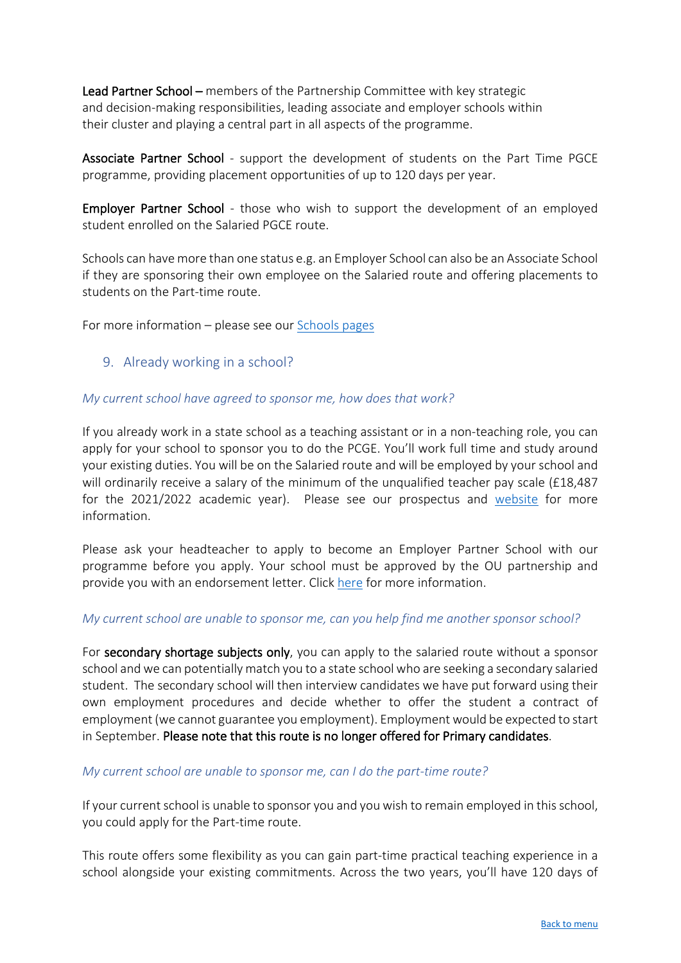Lead Partner School – members of the Partnership Committee with key strategic and decision-making responsibilities, leading associate and employer schools within their cluster and playing a central part in all aspects of the programme.

Associate Partner School - support the development of students on the Part Time PGCE programme, providing placement opportunities of up to 120 days per year.

Employer Partner School - those who wish to support the development of an employed student enrolled on the Salaried PGCE route.

Schools can have more than one status e.g. an Employer School can also be an Associate School if they are sponsoring their own employee on the Salaried route and offering placements to students on the Part-time route.

For more information – please see our [Schools pages](http://www.open.ac.uk/wales/en/our-work/pgce-school-partnership-opportunities)

9. Already working in a school?

#### *My current school have agreed to sponsor me, how does that work?*

If you already work in a state school as a teaching assistant or in a non-teaching role, you can apply for your school to sponsor you to do the PCGE. You'll work full time and study around your existing duties. You will be on the Salaried route and will be employed by your school and will ordinarily receive a salary of the minimum of the unqualified teacher pay scale (£18,487 for the 2021/2022 academic year). Please see our prospectus and [website](http://www.open.ac.uk/courses/choose/wales/pgce) for more information.

Please ask your headteacher to apply to become an Employer Partner School with our programme before you apply. Your school must be approved by the OU partnership and provide you with an endorsement letter. Click [here](http://www.open.ac.uk/wales/en/our-work/pgce-school-partnership-opportunities) for more information.

#### *My current school are unable to sponsor me, can you help find me another sponsor school?*

For secondary shortage subjects only, you can apply to the salaried route without a sponsor school and we can potentially match you to a state school who are seeking a secondary salaried student. The secondary school will then interview candidates we have put forward using their own employment procedures and decide whether to offer the student a contract of employment (we cannot guarantee you employment). Employment would be expected to start in September. Please note that this route is no longer offered for Primary candidates.

#### *My current school are unable to sponsor me, can I do the part-time route?*

If your current school is unable to sponsor you and you wish to remain employed in this school, you could apply for the Part-time route.

This route offers some flexibility as you can gain part-time practical teaching experience in a school alongside your existing commitments. Across the two years, you'll have 120 days of